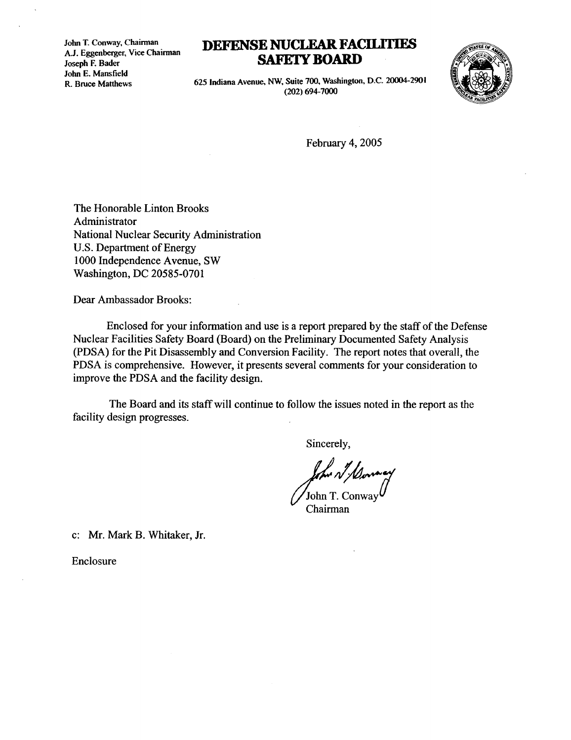John T. Conway, Chairman A.J. Eggenberger, Vice Chairman Joseph F. Bader John E. Mansfield R. Bruce Matthews

## DEFENSE NUCLEAR FACILITIES SAFETY BOARD



625 Indiana Avenue, NW, Suite 700, Washington, D.C. 20004-2901 (202) 694-7000

February 4, 2005

The Honorable Linton Brooks Administrator National Nuclear Security Administration U.S. Department of Energy 1000 Independence Avenue, SW Washington, DC 20585-0701

Dear Ambassador Brooks :

Enclosed for your information and use is a report prepared by the staff of the Defense Nuclear Facilities Safety Board (Board) on the Preliminary Documented Safety Analysis (PDSA) for the Pit Disassembly and Conversion Facility . The report notes that overall, the PDSA is comprehensive. However, it presents several comments for your consideration to improve the PDSA and the facility design.

The Board and its staff will continue to follow the issues noted in the report as the facility design progresses .

Sincerely,

John T. Conway

Chairman

c: Mr. Mark B. Whitaker, Jr.

Enclosure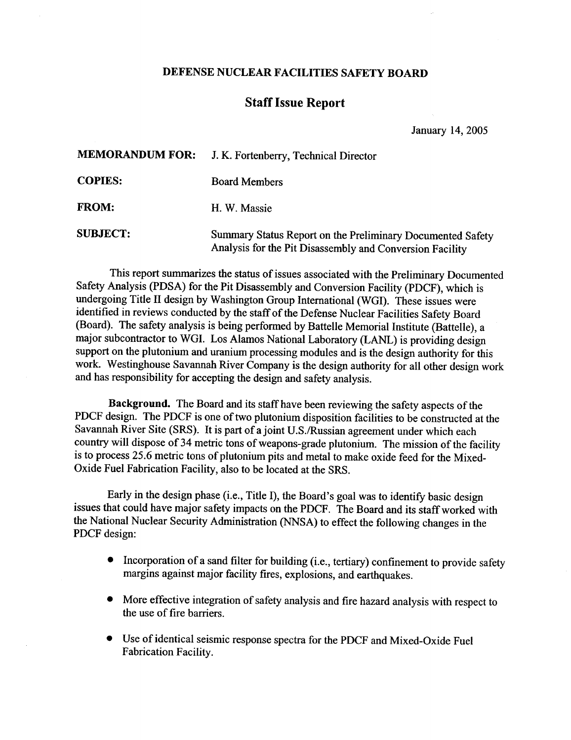## DEFENSE NUCLEAR FACILITIES SAFETY BOARD

## Staff Issue Report

| DEFENSE NUCLEAR FACILITIES SAFETY BOARD |                                                                                                                        |
|-----------------------------------------|------------------------------------------------------------------------------------------------------------------------|
| <b>Staff Issue Report</b>               |                                                                                                                        |
|                                         | January 14, 2005                                                                                                       |
| <b>MEMORANDUM FOR:</b>                  | J. K. Fortenberry, Technical Director                                                                                  |
| <b>COPIES:</b>                          | <b>Board Members</b>                                                                                                   |
| <b>FROM:</b>                            | H. W. Massie                                                                                                           |
| <b>SUBJECT:</b>                         | Summary Status Report on the Preliminary Documented Safety<br>Analysis for the Pit Disassembly and Conversion Facility |

This report summarizes the status of issues associated with the Preliminary Documented Safety Analysis (PDSA) for the Pit Disassembly and Conversion Facility (PDCF), which is undergoing Title II design by Washington Group International (WGI). These issues were identified in reviews conducted by the staff of the Defense Nuclear Facilities Safety Board (Board). The safety analysis is being performed by Battelle Memorial Institute (Battelle), a major subcontractor to WGI. Los Alamos National Laboratory (LANL) is providing design support on the plutonium and uranium processing modules and is the design authority for this work. Westinghouse Savannah River Company is the design authority for all other design work and has responsibility for accepting the design and safety analysis.

Background. The Board and its staff have been reviewing the safety aspects of the PDCF design. The PDCF is one of two plutonium disposition facilities to be constructed at the Savannah River Site (SRS). It is part of a joint U.S./Russian agreement under which each country will dispose of 34 metric tons of weapons-grade plutonium . The mission of the facility is to process 25.6 metric tons of plutonium pits and metal to make oxide feed for the Mixed-Oxide Fuel Fabrication Facility, also to be located at the SRS .

Early in the design phase (i.e., Title I), the Board's goal was to identify basic design issues that could have major safety impacts on the PDCF . The Board and its staff worked with the National Nuclear Security Administration (NNSA) to effect the following changes in the PDCF design:

- Incorporation of a sand filter for building (i.e., tertiary) confinement to provide safety margins against major facility fires, explosions, and earthquakes .
- More effective integration of safety analysis and fire hazard analysis with respect to the use of fire barriers.
- Use of identical seismic response spectra for the PDCF and Mixed-Oxide Fuel Fabrication Facility .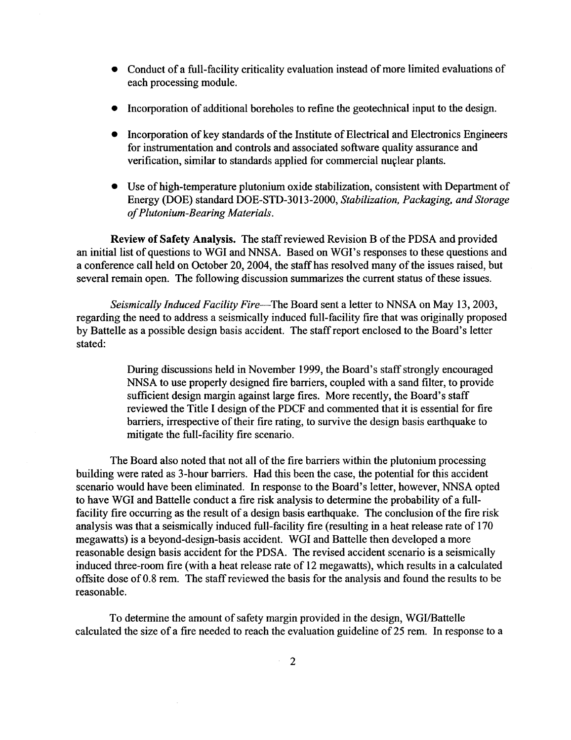- Conduct of a full-facility criticality evaluation instead of more limited evaluations of each processing module.
	- Incorporation of additional boreholes to refine the geotechnical input to the design.
	- Incorporation of key standards of the Institute of Electrical and Electronics Engineers for instrumentation and controls and associated software quality assurance and verification, similar to standards applied for commercial nuclear plants.
	- Use of high-temperature plutonium oxide stabilization, consistent with Department of Energy (DOE) standard DOE-STD-3013-2000, Stabilization, Packaging, and Storage of Plutonium-Bearing Materials .

Review of Safety Analysis. The staff reviewed Revision B of the PDSA and provided an initial list of questions to WGI and NNSA. Based on WGI's responses to these questions and a conference call held on October 20, 2004, the staff has resolved many of the issues raised, but several remain open. The following discussion summarizes the current status of these issues.

Seismically Induced Facility Fire-The Board sent a letter to NNSA on May 13, 2003, regarding the need to address a seismically induced full-facility fire that was originally proposed by Battelle as a possible design basis accident. The staff report enclosed to the Board's letter stated:

> During discussions held in November 1999, the Board's staff strongly encouraged NNSA to use properly designed fire barriers, coupled with a sand filter, to provide sufficient design margin against large fires. More recently, the Board's staff reviewed the Title I design of the PDCF and commented that it is essential for fire barriers, irrespective of their fire rating, to survive the design basis earthquake to mitigate the full-facility fire scenario.

The Board also noted that not all of the fire barriers within the plutonium processing building were rated as 3-hour barriers. Had this been the case, the potential for this accident scenario would have been eliminated. In response to the Board's letter, however, NNSA opted to have WGI and Battelle conduct a fire risk analysis to determine the probability of a fullfacility fire occurring as the result of a design basis earthquake. The conclusion of the fire risk analysis was that a seismically induced full-facility fire (resulting in a heat release rate of 170 megawatts) is a beyond-design-basis accident. WGI and Battelle then developed a more reasonable design basis accident for the PDSA. The revised accident scenario is a seismically induced three-room fire (with a heat release rate of 12 megawatts), which results in a calculated offsite dose of 0.8 rem. The staff reviewed the basis for the analysis and found the results to be reasonable.

To determine the amount of safety margin provided in the design, WGI/Battelle calculated the size of a fire needed to reach the evaluation guideline of 25 rem. In response to a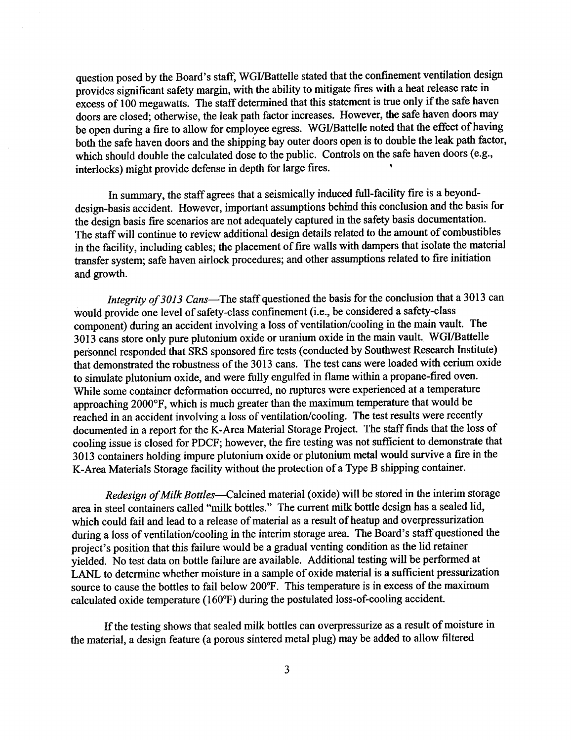question posed by the Board's staff, WGI/Battelle stated that the confinement ventilation design provides significant safety margin, with the ability to mitigate fires with a heat release rate in excess of 100 megawatts. The staff determined that this statement is true only if the safe haven doors are closed; otherwise, the leak path factor increases . However, the safe haven doors may be open during a fire to allow for employee egress. WGI/Battelle noted that the effect of having both the safe haven doors and the shipping bay outer doors open is to double the leak path factor, which should double the calculated dose to the public. Controls on the safe haven doors (e.g., interlocks) might provide defense in depth for large fires . '

> In summary, the staff agrees that a seismically induced full-facility fire is a beyonddesign-basis accident. However, important assumptions behind this conclusion and the basis for the design basis fire scenarios are not adequately captured in the safety basis documentation . The staff will continue to review additional design details related to the amount of combustibles in the facility, including cables; the placement of fire walls with dampers that isolate the material transfer system; safe haven airlock procedures; and other assumptions related to fire initiation and growth.

> Integrity of 3013 Cans-The staff questioned the basis for the conclusion that a 3013 can would provide one level of safety-class confinement (i.e ., be considered a safety-class component) during an accident involving a loss of ventilation/cooling in the main vault. The 3013 cans store only pure plutonium oxide or uranium oxide in the main vault . WGI/Battelle personnel responded that SRS sponsored fire tests (conducted by Southwest Research Institute) that demonstrated the robustness of the 3013 cans . The test cans were loaded with cerium oxide to simulate plutonium oxide, and were fully engulfed in flame within a propane-fired oven. While some container deformation occurred, no ruptures were experienced at a temperature approaching 2000°F, which is much greater than the maximum temperature that would be reached in an accident involving a loss of ventilation/cooling. The test results were recently documented in a report for the K-Area Material Storage Project. The staff finds that the loss of cooling issue is closed for PDCF; however, the fire testing was not sufficient to demonstrate that 3013 containers holding impure plutonium oxide or plutonium metal would survive a fire in the K-Area Materials Storage facility without the protection of a Type B shipping container .

> Redesign of Milk Bottles-Calcined material (oxide) will be stored in the interim storage area in steel containers called "milk bottles." The current milk bottle design has a sealed lid, which could fail and lead to a release of material as a result of heatup and overpressurization during a loss of ventilation/cooling in the interim storage area. The Board's staff questioned the project's position that this failure would be a gradual venting condition as the lid retainer yielded. No test data on bottle failure are available. Additional testing will be performed at LANL to determine whether moisture in a sample of oxide material is a sufficient pressurization source to cause the bottles to fail below 200°F. This temperature is in excess of the maximum calculated oxide temperature (160°F) during the postulated loss-of-cooling accident .

If the testing shows that sealed milk bottles can overpressurize as a result of moisture in the material, a design feature (a porous sintered metal plug) may be added to allow filtered